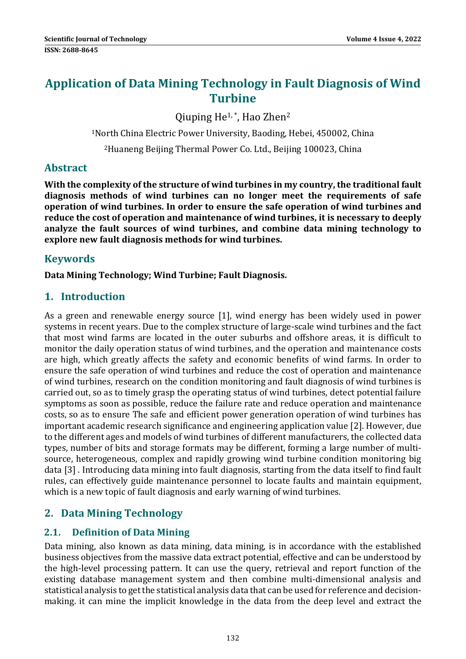# **Application of Data Mining Technology in Fault Diagnosis of Wind Turbine**

Qiuping He<sup>1,\*</sup>, Hao Zhen<sup>2</sup>

<sup>1</sup>North China Electric Power University, Baoding, Hebei, 450002, China <sup>2</sup>Huaneng Beijing Thermal Power Co. Ltd., Beijing 100023, China

# **Abstract**

**With the complexity of the structure of wind turbines in my country, the traditional fault diagnosis methods of wind turbines can no longer meet the requirements of safe operation of wind turbines. In order to ensure the safe operation of wind turbines and reduce the cost of operation and maintenance of wind turbines, it is necessary to deeply analyze the fault sources of wind turbines, and combine data mining technology to explore new fault diagnosis methods for wind turbines.**

# **Keywords**

**Data Mining Technology; Wind Turbine; Fault Diagnosis.**

# **1. Introduction**

As a green and renewable energy source [1], wind energy has been widely used in power systems in recent years. Due to the complex structure of large-scale wind turbines and the fact that most wind farms are located in the outer suburbs and offshore areas, it is difficult to monitor the daily operation status of wind turbines, and the operation and maintenance costs are high, which greatly affects the safety and economic benefits of wind farms. In order to ensure the safe operation of wind turbines and reduce the cost of operation and maintenance of wind turbines, research on the condition monitoring and fault diagnosis of wind turbines is carried out, so as to timely grasp the operating status of wind turbines, detect potential failure symptoms as soon as possible, reduce the failure rate and reduce operation and maintenance costs, so as to ensure The safe and efficient power generation operation of wind turbines has important academic research significance and engineering application value [2]. However, due to the different ages and models of wind turbines of different manufacturers, the collected data types, number of bits and storage formats may be different, forming a large number of multisource, heterogeneous, complex and rapidly growing wind turbine condition monitoring big data [3]. Introducing data mining into fault diagnosis, starting from the data itself to find fault rules, can effectively guide maintenance personnel to locate faults and maintain equipment, which is a new topic of fault diagnosis and early warning of wind turbines.

# **2. Data Mining Technology**

# **2.1. Definition of Data Mining**

Data mining, also known as data mining, data mining, is in accordance with the established business objectives from the massive data extract potential, effective and can be understood by the high-level processing pattern. It can use the query, retrieval and report function of the existing database management system and then combine multi-dimensional analysis and statistical analysis to get the statistical analysis data that can be used for reference and decisionmaking. it can mine the implicit knowledge in the data from the deep level and extract the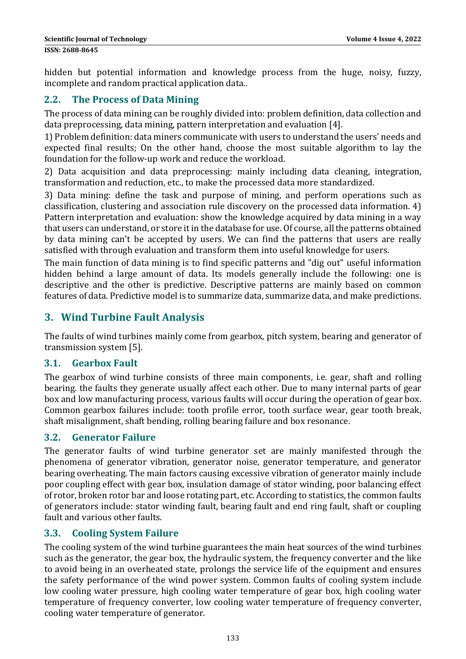hidden but potential information and knowledge process from the huge, noisy, fuzzy, incomplete and random practical application data...

### **2.2. The Process of Data Mining**

The process of data mining can be roughly divided into: problem definition, data collection and data preprocessing, data mining, pattern interpretation and evaluation [4].

1) Problem definition: data miners communicate with users to understand the users' needs and expected final results; On the other hand, choose the most suitable algorithm to lay the foundation for the follow-up work and reduce the workload.

2) Data acquisition and data preprocessing: mainly including data cleaning, integration, transformation and reduction, etc., to make the processed data more standardized.

3) Data mining: define the task and purpose of mining, and perform operations such as classification, clustering and association rule discovery on the processed data information.  $4$ ) Pattern interpretation and evaluation: show the knowledge acquired by data mining in a way that users can understand, or store it in the database for use. Of course, all the patterns obtained by data mining can't be accepted by users. We can find the patterns that users are really satisfied with through evaluation and transform them into useful knowledge for users.

The main function of data mining is to find specific patterns and "dig out" useful information hidden behind a large amount of data. Its models generally include the following: one is descriptive and the other is predictive. Descriptive patterns are mainly based on common features of data. Predictive model is to summarize data, summarize data, and make predictions.

# **3. Wind Turbine Fault Analysis**

The faults of wind turbines mainly come from gearbox, pitch system, bearing and generator of transmission system [5].

#### **3.1. Gearbox Fault**

The gearbox of wind turbine consists of three main components, i.e. gear, shaft and rolling bearing. the faults they generate usually affect each other. Due to many internal parts of gear box and low manufacturing process, various faults will occur during the operation of gear box. Common gearbox failures include: tooth profile error, tooth surface wear, gear tooth break, shaft misalignment, shaft bending, rolling bearing failure and box resonance.

#### **3.2. Generator Failure**

The generator faults of wind turbine generator set are mainly manifested through the phenomena of generator vibration, generator noise, generator temperature, and generator bearing overheating. The main factors causing excessive vibration of generator mainly include poor coupling effect with gear box, insulation damage of stator winding, poor balancing effect of rotor, broken rotor bar and loose rotating part, etc. According to statistics, the common faults of generators include: stator winding fault, bearing fault and end ring fault, shaft or coupling fault and various other faults.

#### **3.3. Cooling System Failure**

The cooling system of the wind turbine guarantees the main heat sources of the wind turbines such as the generator, the gear box, the hydraulic system, the frequency converter and the like to avoid being in an overheated state, prolongs the service life of the equipment and ensures the safety performance of the wind power system. Common faults of cooling system include low cooling water pressure, high cooling water temperature of gear box, high cooling water temperature of frequency converter, low cooling water temperature of frequency converter, cooling water temperature of generator.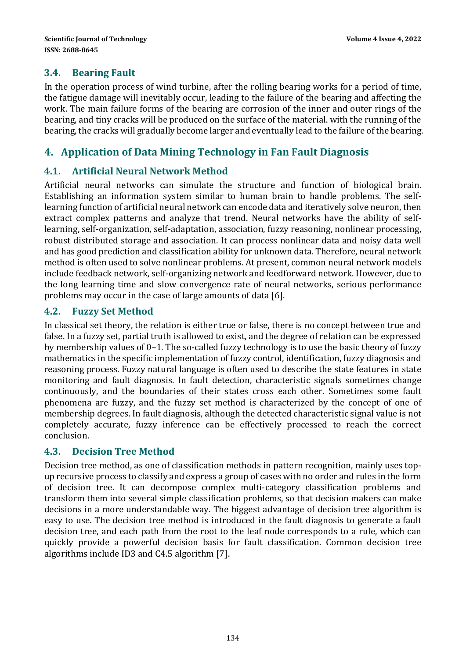#### **3.4. Bearing Fault**

In the operation process of wind turbine, after the rolling bearing works for a period of time, the fatigue damage will inevitably occur, leading to the failure of the bearing and affecting the work. The main failure forms of the bearing are corrosion of the inner and outer rings of the bearing, and tiny cracks will be produced on the surface of the material, with the running of the bearing, the cracks will gradually become larger and eventually lead to the failure of the bearing.

### **4. Application of Data Mining Technology in Fan Fault Diagnosis**

### **4.1. Artificial Neural Network Method**

Artificial neural networks can simulate the structure and function of biological brain. Establishing an information system similar to human brain to handle problems. The selflearning function of artificial neural network can encode data and iteratively solve neuron, then extract complex patterns and analyze that trend. Neural networks have the ability of selflearning, self-organization, self-adaptation, association, fuzzy reasoning, nonlinear processing, robust distributed storage and association. It can process nonlinear data and noisy data well and has good prediction and classification ability for unknown data. Therefore, neural network method is often used to solve nonlinear problems. At present, common neural network models include feedback network, self-organizing network and feedforward network. However, due to the long learning time and slow convergence rate of neural networks, serious performance problems may occur in the case of large amounts of data [6].

#### **4.2. Fuzzy Set Method**

In classical set theory, the relation is either true or false, there is no concept between true and false. In a fuzzy set, partial truth is allowed to exist, and the degree of relation can be expressed by membership values of  $0-1$ . The so-called fuzzy technology is to use the basic theory of fuzzy mathematics in the specific implementation of fuzzy control, identification, fuzzy diagnosis and reasoning process. Fuzzy natural language is often used to describe the state features in state monitoring and fault diagnosis. In fault detection, characteristic signals sometimes change continuously, and the boundaries of their states cross each other. Sometimes some fault phenomena are fuzzy, and the fuzzy set method is characterized by the concept of one of membership degrees. In fault diagnosis, although the detected characteristic signal value is not completely accurate, fuzzy inference can be effectively processed to reach the correct conclusion. 

#### **4.3. Decision Tree Method**

Decision tree method, as one of classification methods in pattern recognition, mainly uses topup recursive process to classify and express a group of cases with no order and rules in the form of decision tree. It can decompose complex multi-category classification problems and transform them into several simple classification problems, so that decision makers can make decisions in a more understandable way. The biggest advantage of decision tree algorithm is easy to use. The decision tree method is introduced in the fault diagnosis to generate a fault decision tree, and each path from the root to the leaf node corresponds to a rule, which can quickly provide a powerful decision basis for fault classification. Common decision tree algorithms include ID3 and  $C4.5$  algorithm [7].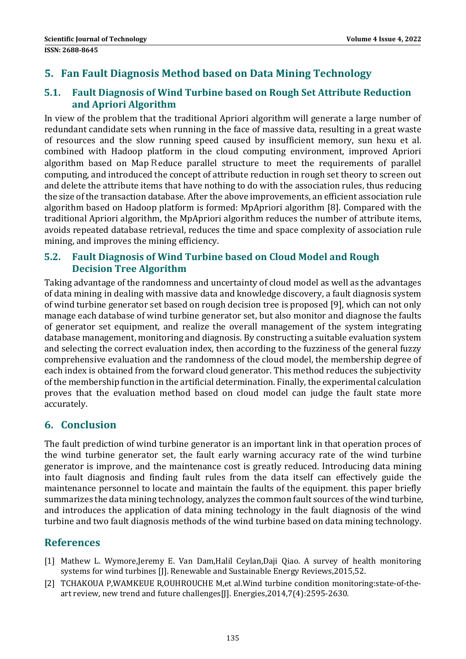# **5. Fan Fault Diagnosis Method based on Data Mining Technology**

### **5.1. Fault Diagnosis of Wind Turbine based on Rough Set Attribute Reduction and Apriori Algorithm**

In view of the problem that the traditional Apriori algorithm will generate a large number of redundant candidate sets when running in the face of massive data, resulting in a great waste of resources and the slow running speed caused by insufficient memory, sun hexu et al. combined with Hadoop platform in the cloud computing environment, improved Apriori algorithm based on Map Reduce parallel structure to meet the requirements of parallel computing, and introduced the concept of attribute reduction in rough set theory to screen out and delete the attribute items that have nothing to do with the association rules, thus reducing the size of the transaction database. After the above improvements, an efficient association rule algorithm based on Hadoop platform is formed: MpApriori algorithm [8]. Compared with the traditional Apriori algorithm, the MpApriori algorithm reduces the number of attribute items, avoids repeated database retrieval, reduces the time and space complexity of association rule mining, and improves the mining efficiency.

### **5.2. Fault Diagnosis of Wind Turbine based on Cloud Model and Rough Decision Tree Algorithm**

Taking advantage of the randomness and uncertainty of cloud model as well as the advantages of data mining in dealing with massive data and knowledge discovery, a fault diagnosis system of wind turbine generator set based on rough decision tree is proposed [9], which can not only manage each database of wind turbine generator set, but also monitor and diagnose the faults of generator set equipment, and realize the overall management of the system integrating database management, monitoring and diagnosis. By constructing a suitable evaluation system and selecting the correct evaluation index, then according to the fuzziness of the general fuzzy comprehensive evaluation and the randomness of the cloud model, the membership degree of each index is obtained from the forward cloud generator. This method reduces the subjectivity of the membership function in the artificial determination. Finally, the experimental calculation proves that the evaluation method based on cloud model can judge the fault state more accurately. 

### **6. Conclusion**

The fault prediction of wind turbine generator is an important link in that operation proces of the wind turbine generator set, the fault early warning accuracy rate of the wind turbine generator is improve, and the maintenance cost is greatly reduced. Introducing data mining into fault diagnosis and finding fault rules from the data itself can effectively guide the maintenance personnel to locate and maintain the faults of the equipment. this paper briefly summarizes the data mining technology, analyzes the common fault sources of the wind turbine, and introduces the application of data mining technology in the fault diagnosis of the wind turbine and two fault diagnosis methods of the wind turbine based on data mining technology.

# **References**

- [1] Mathew L. Wymore,Jeremy E. Van Dam,Halil Ceylan,Daji Oiao. A survey of health monitoring systems for wind turbines [J]. Renewable and Sustainable Energy Reviews, 2015, 52.
- [2] TCHAKOUA P,WAMKEUE R,OUHROUCHE M,et al.Wind turbine condition monitoring:state-of-theart review, new trend and future challenges[J]. Energies,2014,7(4):2595-2630.